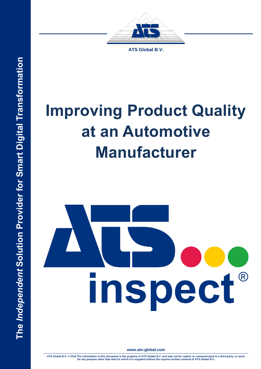



**ATS Global B.V.**

# **Improving Product Quality at an Automotive Manufacturer**



**www.ats-global.com**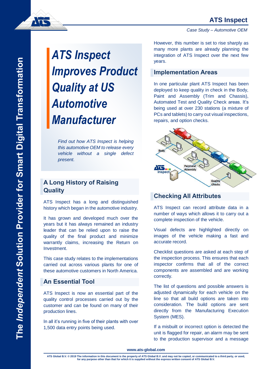## **ATS Inspect**

*Case Study – Automotive OEM*

# *ATS Inspect Improves Product Quality at US Automotive Manufacturer*

*Find out how ATS Inspect is helping this automotive OEM to release every vehicle without a single defect present.*

## **A Long History of Raising Quality**

ATS Inspect has a long and distinguished history which began in the automotive industry.

It has grown and developed much over the years but it has always remained an industry leader that can be relied upon to raise the quality of the final product and minimize warrantly claims, increasing the Return on Investment.

This case study relates to the implementations carried out across various plants for one of these automotive customers in North America.

#### **An Essential Tool**

ATS Inspect is now an essential part of the quality control processes carried out by the customer and can be found on many of their production lines.

In all it's running in five of their plants with over 1,500 data entry points being used.

However, this number is set to rise sharply as many more plants are already planning the integration of ATS Inspect over the next few years.

#### **Implementation Areas**

In one particular plant ATS Inspect has been deployed to keep quality in check in the Body, Paint and Assembly (Trim and Chassis), Automated Test and Quality Check areas. It's being used at over 230 stations (a mixture of PCs and tablets) to carry out visual inspections, repairs, and option checks.



#### **Checking All Attributes**

ATS Inspect can record attribute data in a number of ways which allows it to carry out a complete inspection of the vehicle.

Visual defects are highlighted directly on images of the vehicle making a fast and accurate record.

Checklist questions are asked at each step of the inspection process. This ensures that each inspector confirms that all of the correct components are assembled and are working correctly.

The list of questions and possible answers is adjusted dynamically for each vehicle on the line so that all build options are taken into consideration. The build options are sent directly from the Manufacturing Execution System (MES).

If a misbuilt or incorrect option is detected the unit is flagged for repair, an alarm may be sent to the production supervisor and a message

ATS Global B.V. © 2019 The information in this document is the property of ATS Global B.V. and may not be copied, or communicated to a third party, or used,<br>for any purpose other than that for which it is supplied without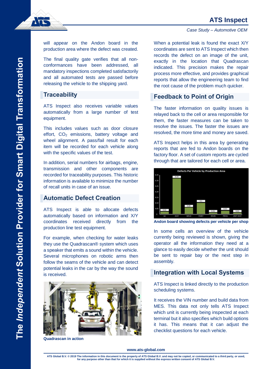*Case Study – Automotive OEM*



will appear on the Andon board in the production area where the defect was created.

The final quality gate verifies that all nonconformances have been addressed, all mandatory inspections completed satisfactorily and all automated tests are passed before releasing the vehicle to the shipping yard.

#### **Traceability**

ATS Inspect also receives variable values automatically from a large number of test equipment.

This includes values such as door closure effort,  $CO<sub>2</sub>$  emissions, battery voltage and wheel alignment. A pass/fail result for each item will be recorded for each vehicle along with the specific values of the test.

In addition, serial numbers for airbags, engine, transmission and other components are recorded for traceability purposes. This historic information is available to minimize the number of recall units in case of an issue.

#### **Automatic Defect Creation**

ATS Inspect is able to allocate defects automatically based on information and X/Y coordinates received directly from the production line test equipment.

For example, when checking for water leaks they use the Quadrascan® system which uses a speaker that emits a sound within the vehicle. Several microphones on robotic arms then follow the seams of the vehicle and can detect potential leaks in the car by the way the sound is received.



**Quadrascan in action**

When a potential leak is found the exact X/Y coordinates are sent to ATS Inspect which then records the defect on an image of the unit, exactly in the location that Quadrascan indicated. This precision makes the repair process more effective, and provides graphical reports that allow the engineering team to find the root cause of the problem much quicker.

#### **Feedback to Point of Origin**

The faster information on quality issues is relayed back to the cell or area responsible for them, the faster measures can be taken to resolve the issues. The faster the issues are resolved, the more time and money are saved.

ATS Inspect helps in this area by generating reports that are fed to Andon boards on the factory floor. A set of custom reports are cycled through that are tailored for each cell or area.



**Andon board showing defects per vehicle per shop**

In some cells an overview of the vehicle currently being reviewed is shown, giving the operator all the information they need at a glance to easily decide whether the unit should be sent to repair bay or the next step in assembly.

#### **Integration with Local Systems**

ATS Inspect is linked directly to the production scheduling systems.

It receives the VIN number and build data from MES. This data not only tells ATS Inspect which unit is currently being inspected at each terminal but it also specifies which build options it has. This means that it can adjust the checklist questions for each vehicle.

#### **www.ats-global.com**

ATS Global B.V. © 2019 The information in this document is the property of ATS Global B.V. and may not be copied, or communicated to a third party, or used,<br>for any purpose other than that for which it is supplied without